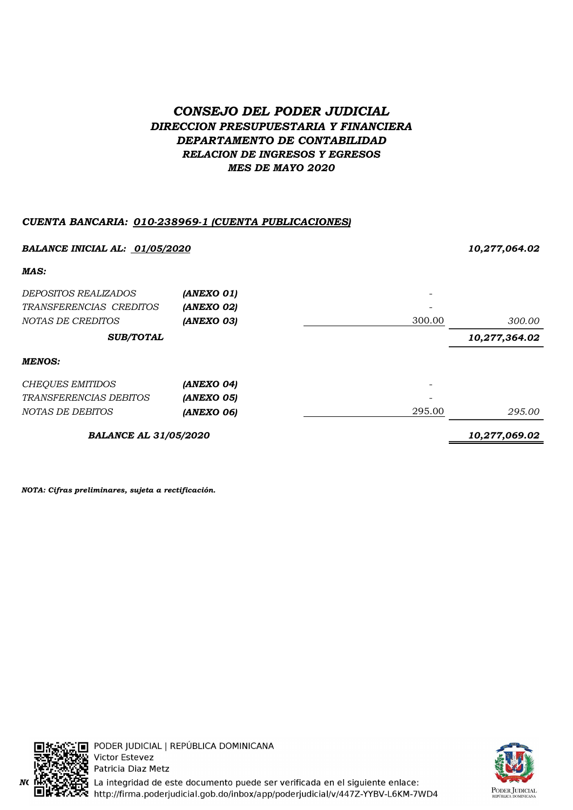# CONSEJO DEL PODER JUDICIAL DIRECCION PRESUPUESTARIA Y FINANCIERA DEPARTAMENTO DE CONTABILIDAD RELACION DE INGRESOS Y EGRESOS MES DE MAYO 2020

# CUENTA BANCARIA: 010-238969-1 (CUENTA PUBLICACIONES)

| BALANCE INICIAL AL: 01/05/2020 |               |        | 10,277,064.02 |  |
|--------------------------------|---------------|--------|---------------|--|
| MAS:                           |               |        |               |  |
| <i>DEPOSITOS REALIZADOS</i>    | (ANEXO 01)    |        |               |  |
| TRANSFERENCIAS CREDITOS        | (ANEXO 02)    |        |               |  |
| NOTAS DE CREDITOS              | (ANEXO 03)    | 300.00 | 300.00        |  |
| <b>SUB/TOTAL</b>               |               |        | 10,277,364.02 |  |
| <b>MENOS:</b>                  |               |        |               |  |
| <b>CHEQUES EMITIDOS</b>        | (ANEXO 04)    |        |               |  |
| <i>TRANSFERENCIAS DEBITOS</i>  | (ANEXO 05)    |        |               |  |
| NOTAS DE DEBITOS               | (ANEXO 06)    | 295.00 | 295.00        |  |
| <b>BALANCE AL 31/05/2020</b>   | 10,277,069.02 |        |               |  |

NOTA: Cifras preliminares, sujeta a rectificación.



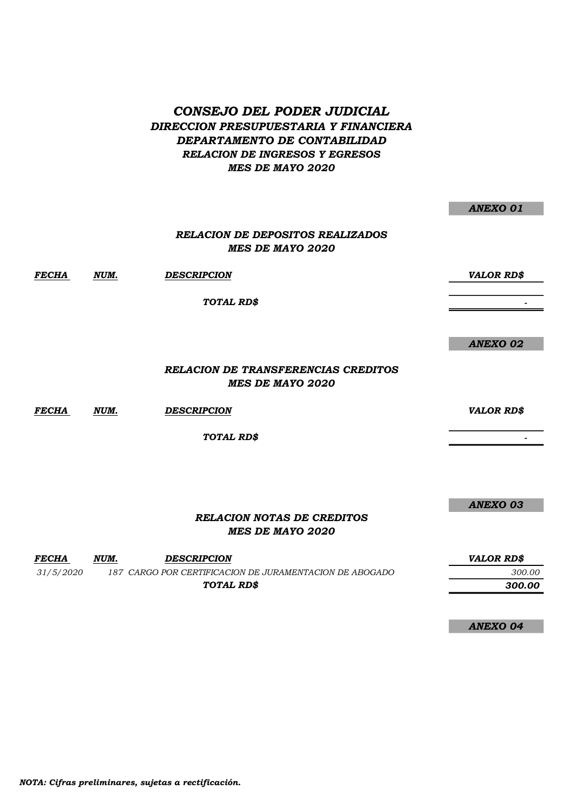## CONSEJO DEL PODER JUDICIAL DIRECCION PRESUPUESTARIA Y FINANCIERA DEPARTAMENTO DE CONTABILIDAD RELACION DE INGRESOS Y EGRESOS MES DE MAYO 2020

|       |      | <b>RELACION DE DEPOSITOS REALIZADOS</b><br><b>MES DE MAYO 2020</b>    |                   |
|-------|------|-----------------------------------------------------------------------|-------------------|
| FECHA | NUM. | <b>DESCRIPCION</b>                                                    | <b>VALOR RD\$</b> |
|       |      | TOTAL RD\$                                                            |                   |
|       |      |                                                                       |                   |
|       |      |                                                                       | <b>ANEXO 02</b>   |
|       |      | <b>RELACION DE TRANSFERENCIAS CREDITOS</b><br><b>MES DE MAYO 2020</b> |                   |
| FECHA | NUM. | <b>DESCRIPCION</b>                                                    | <b>VALOR RD\$</b> |
|       |      | TOTAL RD\$                                                            |                   |
|       |      |                                                                       |                   |
|       |      |                                                                       |                   |
|       |      |                                                                       | ANEXO 03          |

#### RELACION NOTAS DE CREDITOS MES DE MAYO 2020

| <b>FECHA</b> | NUM. | <b>DESCRIPCION</b>                                      | <b>VALOR RDS</b> |
|--------------|------|---------------------------------------------------------|------------------|
| 31/5/2020    |      | 187 CARGO POR CERTIFICACION DE JURAMENTACION DE ABOGADO | 300.00           |
|              |      | TOTAL RDS                                               | 300.00           |

ANEXO 04

ANEXO 01